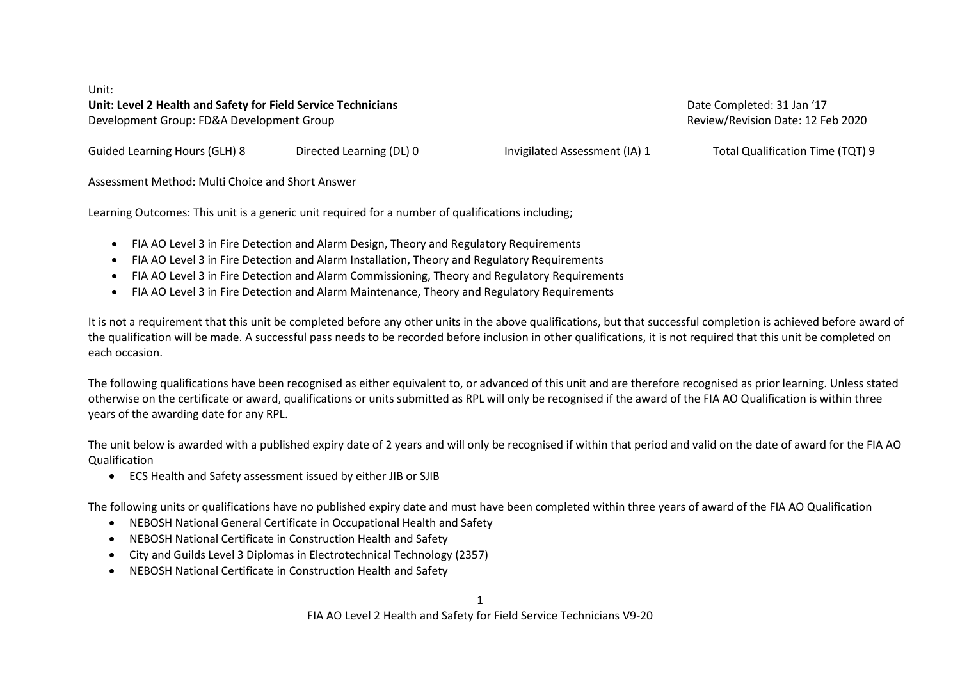Unit: **Unit: Level 2 Health and Safety for Field Service Technicians Date Completed: 31 Jan '17 Date Completed: 31 Jan '17** Development Group: FD&A Development Group Review/Revision Date: 12 Feb 2020

Guided Learning Hours (GLH) 8 Directed Learning (DL) 0 **Invigilated Assessment (IA) 1** Total Qualification Time (TQT) 9

Assessment Method: Multi Choice and Short Answer

Learning Outcomes: This unit is a generic unit required for a number of qualifications including;

- FIA AO Level 3 in Fire Detection and Alarm Design, Theory and Regulatory Requirements
- FIA AO Level 3 in Fire Detection and Alarm Installation, Theory and Regulatory Requirements
- FIA AO Level 3 in Fire Detection and Alarm Commissioning, Theory and Regulatory Requirements
- FIA AO Level 3 in Fire Detection and Alarm Maintenance, Theory and Regulatory Requirements

It is not a requirement that this unit be completed before any other units in the above qualifications, but that successful completion is achieved before award of the qualification will be made. A successful pass needs to be recorded before inclusion in other qualifications, it is not required that this unit be completed on each occasion.

The following qualifications have been recognised as either equivalent to, or advanced of this unit and are therefore recognised as prior learning. Unless stated otherwise on the certificate or award, qualifications or units submitted as RPL will only be recognised if the award of the FIA AO Qualification is within three years of the awarding date for any RPL.

The unit below is awarded with a published expiry date of 2 years and will only be recognised if within that period and valid on the date of award for the FIA AO Qualification

• ECS Health and Safety assessment issued by either JIB or SJIB

The following units or qualifications have no published expiry date and must have been completed within three years of award of the FIA AO Qualification

- NEBOSH National General Certificate in Occupational Health and Safety
- NEBOSH National Certificate in Construction Health and Safety
- City and Guilds Level 3 Diplomas in Electrotechnical Technology (2357)
- NEBOSH National Certificate in Construction Health and Safety

1 FIA AO Level 2 Health and Safety for Field Service Technicians V9-20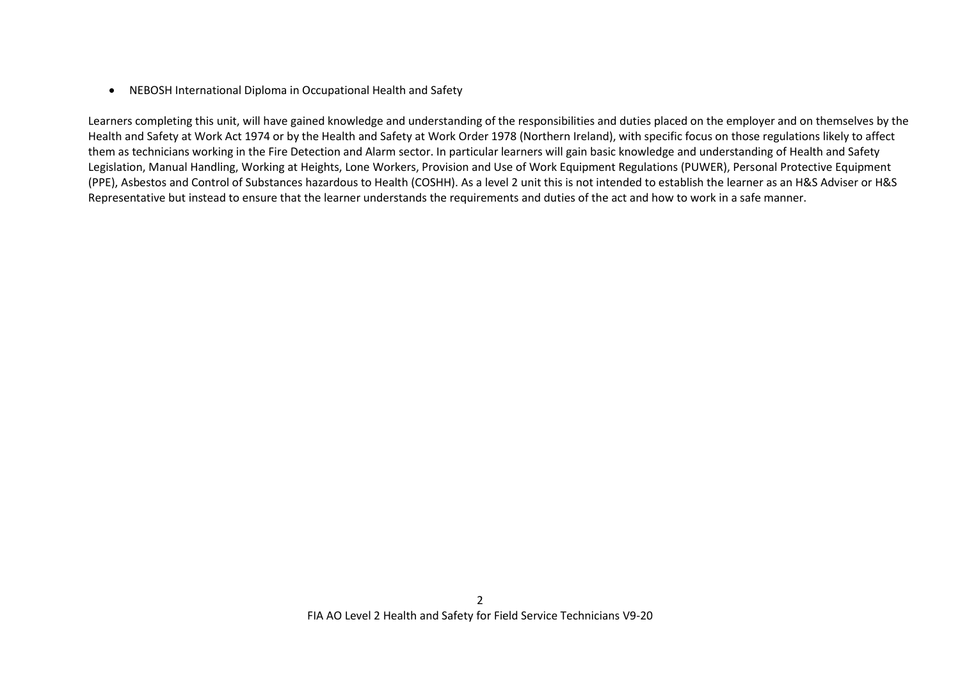• NEBOSH International Diploma in Occupational Health and Safety

Learners completing this unit, will have gained knowledge and understanding of the responsibilities and duties placed on the employer and on themselves by the Health and Safety at Work Act 1974 or by the Health and Safety at Work Order 1978 (Northern Ireland), with specific focus on those regulations likely to affect them as technicians working in the Fire Detection and Alarm sector. In particular learners will gain basic knowledge and understanding of Health and Safety Legislation, Manual Handling, Working at Heights, Lone Workers, Provision and Use of Work Equipment Regulations (PUWER), Personal Protective Equipment (PPE), Asbestos and Control of Substances hazardous to Health (COSHH). As a level 2 unit this is not intended to establish the learner as an H&S Adviser or H&S Representative but instead to ensure that the learner understands the requirements and duties of the act and how to work in a safe manner.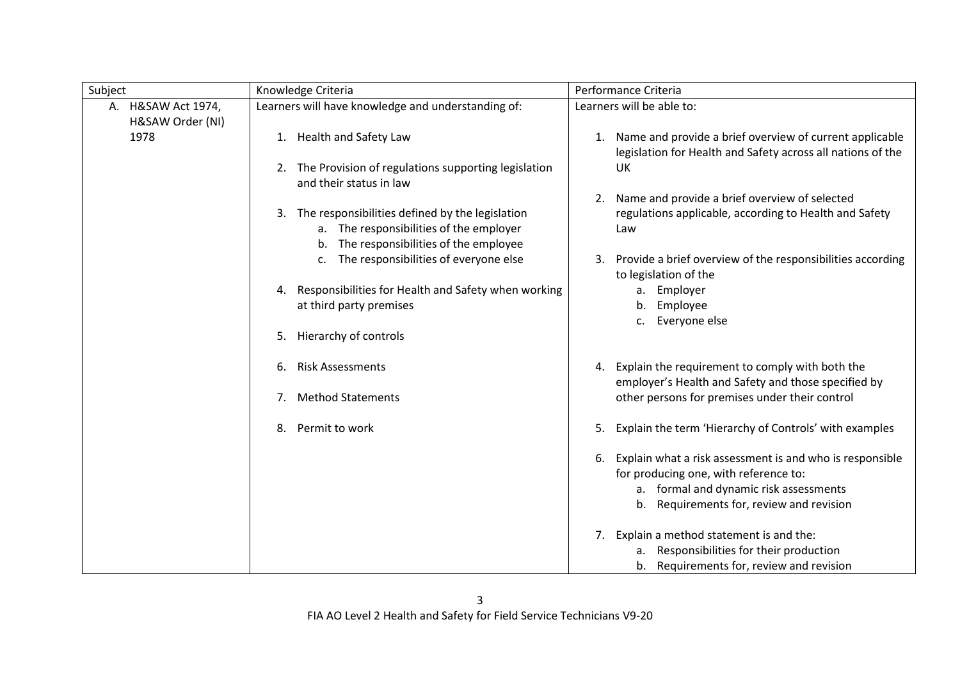| Subject                                | Knowledge Criteria                                                                                                                          | Performance Criteria                                                                                                                                                                             |
|----------------------------------------|---------------------------------------------------------------------------------------------------------------------------------------------|--------------------------------------------------------------------------------------------------------------------------------------------------------------------------------------------------|
| A. H&SAW Act 1974,<br>H&SAW Order (NI) | Learners will have knowledge and understanding of:                                                                                          | Learners will be able to:                                                                                                                                                                        |
| 1978                                   | 1. Health and Safety Law<br>The Provision of regulations supporting legislation<br>2.<br>and their status in law                            | Name and provide a brief overview of current applicable<br>1.<br>legislation for Health and Safety across all nations of the<br>UK                                                               |
|                                        | The responsibilities defined by the legislation<br>3.<br>a. The responsibilities of the employer<br>b. The responsibilities of the employee | Name and provide a brief overview of selected<br>2.<br>regulations applicable, according to Health and Safety<br>Law                                                                             |
|                                        | c. The responsibilities of everyone else<br>4. Responsibilities for Health and Safety when working<br>at third party premises               | Provide a brief overview of the responsibilities according<br>3.<br>to legislation of the<br>Employer<br>a.<br>Employee<br>b.                                                                    |
|                                        | Hierarchy of controls<br>5.                                                                                                                 | Everyone else                                                                                                                                                                                    |
|                                        | <b>Risk Assessments</b><br>6.                                                                                                               | Explain the requirement to comply with both the<br>4.<br>employer's Health and Safety and those specified by                                                                                     |
|                                        | <b>Method Statements</b><br>7.                                                                                                              | other persons for premises under their control                                                                                                                                                   |
|                                        | Permit to work<br>8.                                                                                                                        | Explain the term 'Hierarchy of Controls' with examples<br>5.                                                                                                                                     |
|                                        |                                                                                                                                             | Explain what a risk assessment is and who is responsible<br>6.<br>for producing one, with reference to:<br>a. formal and dynamic risk assessments<br>Requirements for, review and revision<br>b. |
|                                        |                                                                                                                                             | Explain a method statement is and the:<br>7.<br>Responsibilities for their production<br>а.<br>b. Requirements for, review and revision                                                          |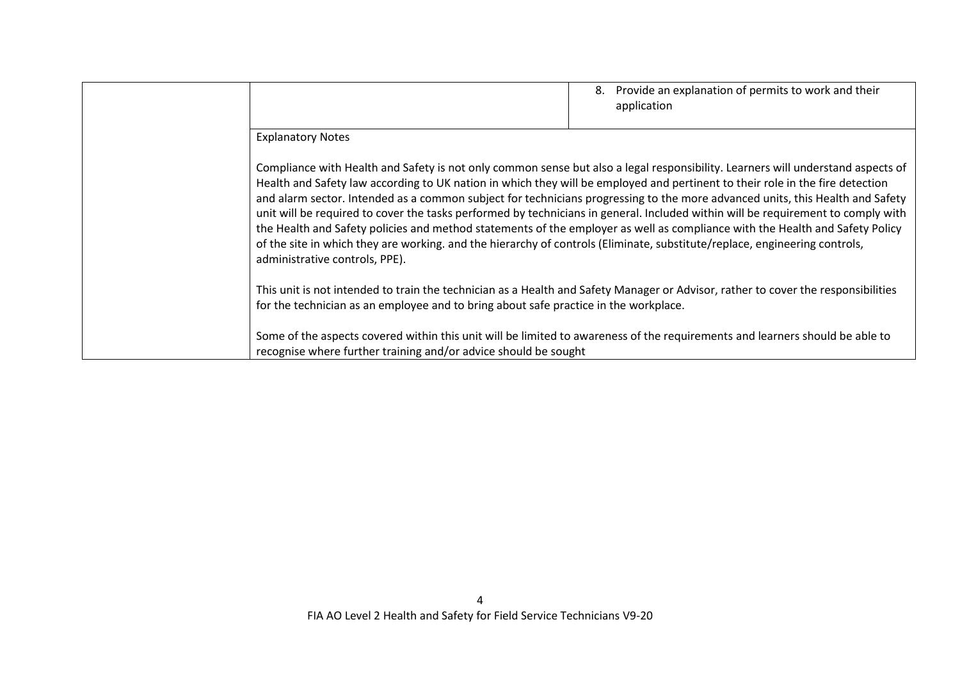|                                                                                                                                                                                                                                                                                                                                                                                                                                                                                                                                                                                                                                                                                                                                                                                                                                       | 8. | Provide an explanation of permits to work and their<br>application |
|---------------------------------------------------------------------------------------------------------------------------------------------------------------------------------------------------------------------------------------------------------------------------------------------------------------------------------------------------------------------------------------------------------------------------------------------------------------------------------------------------------------------------------------------------------------------------------------------------------------------------------------------------------------------------------------------------------------------------------------------------------------------------------------------------------------------------------------|----|--------------------------------------------------------------------|
| <b>Explanatory Notes</b>                                                                                                                                                                                                                                                                                                                                                                                                                                                                                                                                                                                                                                                                                                                                                                                                              |    |                                                                    |
| Compliance with Health and Safety is not only common sense but also a legal responsibility. Learners will understand aspects of<br>Health and Safety law according to UK nation in which they will be employed and pertinent to their role in the fire detection<br>and alarm sector. Intended as a common subject for technicians progressing to the more advanced units, this Health and Safety<br>unit will be required to cover the tasks performed by technicians in general. Included within will be requirement to comply with<br>the Health and Safety policies and method statements of the employer as well as compliance with the Health and Safety Policy<br>of the site in which they are working. and the hierarchy of controls (Eliminate, substitute/replace, engineering controls,<br>administrative controls, PPE). |    |                                                                    |
| This unit is not intended to train the technician as a Health and Safety Manager or Advisor, rather to cover the responsibilities<br>for the technician as an employee and to bring about safe practice in the workplace.                                                                                                                                                                                                                                                                                                                                                                                                                                                                                                                                                                                                             |    |                                                                    |
| Some of the aspects covered within this unit will be limited to awareness of the requirements and learners should be able to<br>recognise where further training and/or advice should be sought                                                                                                                                                                                                                                                                                                                                                                                                                                                                                                                                                                                                                                       |    |                                                                    |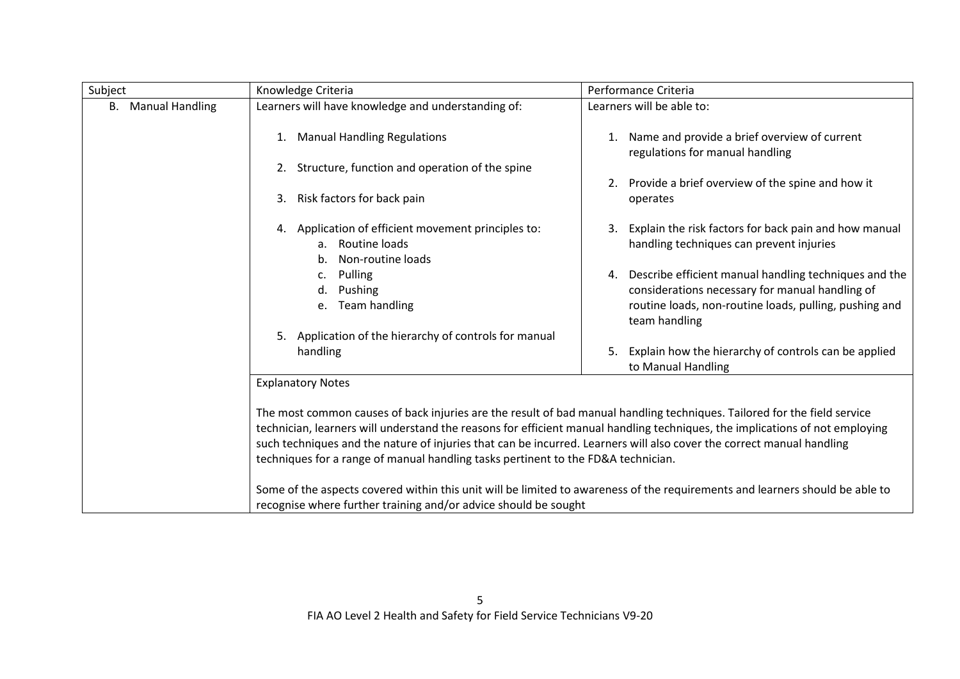| Subject                             | Knowledge Criteria                                                                                                                                                                                                                                                                                                                     | Performance Criteria                                                                                                                                                                   |
|-------------------------------------|----------------------------------------------------------------------------------------------------------------------------------------------------------------------------------------------------------------------------------------------------------------------------------------------------------------------------------------|----------------------------------------------------------------------------------------------------------------------------------------------------------------------------------------|
| <b>Manual Handling</b><br><b>B.</b> | Learners will have knowledge and understanding of:                                                                                                                                                                                                                                                                                     | Learners will be able to:                                                                                                                                                              |
|                                     | <b>Manual Handling Regulations</b><br>1.                                                                                                                                                                                                                                                                                               | 1. Name and provide a brief overview of current<br>regulations for manual handling                                                                                                     |
|                                     | Structure, function and operation of the spine<br>2.                                                                                                                                                                                                                                                                                   |                                                                                                                                                                                        |
|                                     | Risk factors for back pain<br>3.                                                                                                                                                                                                                                                                                                       | 2. Provide a brief overview of the spine and how it<br>operates                                                                                                                        |
|                                     | 4. Application of efficient movement principles to:<br>a. Routine loads<br>Non-routine loads<br>b.                                                                                                                                                                                                                                     | Explain the risk factors for back pain and how manual<br>3.<br>handling techniques can prevent injuries                                                                                |
|                                     | Pulling<br>c.<br>Pushing<br>d.<br>e. Team handling                                                                                                                                                                                                                                                                                     | 4. Describe efficient manual handling techniques and the<br>considerations necessary for manual handling of<br>routine loads, non-routine loads, pulling, pushing and<br>team handling |
|                                     | Application of the hierarchy of controls for manual<br>5.<br>handling                                                                                                                                                                                                                                                                  | Explain how the hierarchy of controls can be applied<br>5.<br>to Manual Handling                                                                                                       |
|                                     | <b>Explanatory Notes</b>                                                                                                                                                                                                                                                                                                               |                                                                                                                                                                                        |
|                                     | The most common causes of back injuries are the result of bad manual handling techniques. Tailored for the field service<br>such techniques and the nature of injuries that can be incurred. Learners will also cover the correct manual handling<br>techniques for a range of manual handling tasks pertinent to the FD&A technician. | technician, learners will understand the reasons for efficient manual handling techniques, the implications of not employing                                                           |
|                                     | recognise where further training and/or advice should be sought                                                                                                                                                                                                                                                                        | Some of the aspects covered within this unit will be limited to awareness of the requirements and learners should be able to                                                           |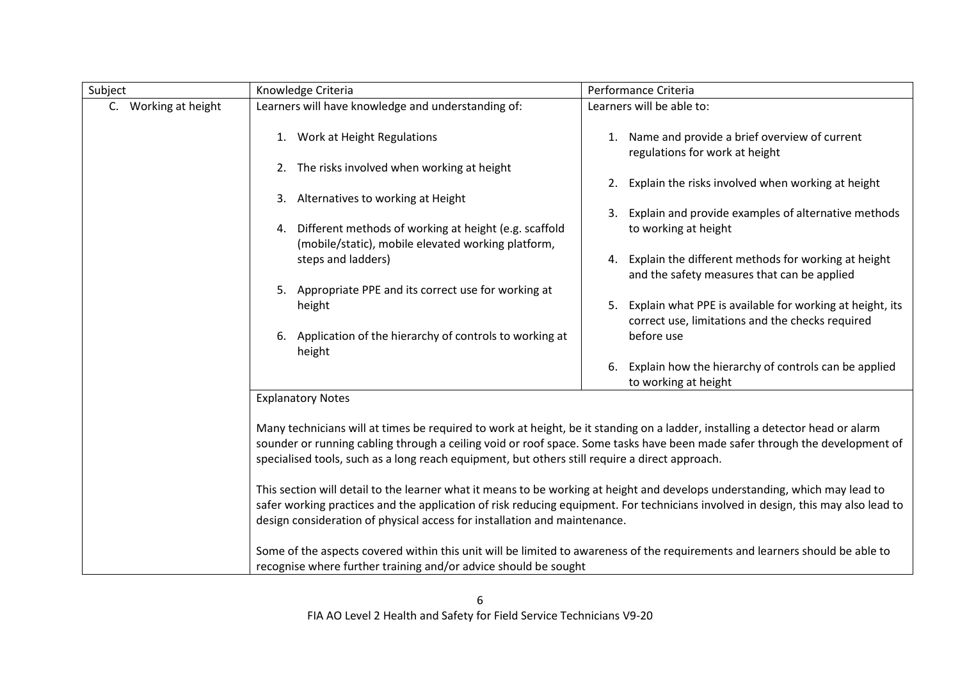| Subject              | Knowledge Criteria                                                                                                                                                                                                                                                                                                                                             | Performance Criteria                                                                                            |
|----------------------|----------------------------------------------------------------------------------------------------------------------------------------------------------------------------------------------------------------------------------------------------------------------------------------------------------------------------------------------------------------|-----------------------------------------------------------------------------------------------------------------|
| C. Working at height | Learners will have knowledge and understanding of:                                                                                                                                                                                                                                                                                                             | Learners will be able to:                                                                                       |
|                      | 1. Work at Height Regulations                                                                                                                                                                                                                                                                                                                                  | 1. Name and provide a brief overview of current<br>regulations for work at height                               |
|                      | The risks involved when working at height<br>2.                                                                                                                                                                                                                                                                                                                | 2. Explain the risks involved when working at height                                                            |
|                      | Alternatives to working at Height<br>3.                                                                                                                                                                                                                                                                                                                        |                                                                                                                 |
|                      | Different methods of working at height (e.g. scaffold<br>4.<br>(mobile/static), mobile elevated working platform,                                                                                                                                                                                                                                              | Explain and provide examples of alternative methods<br>3.<br>to working at height                               |
|                      | steps and ladders)                                                                                                                                                                                                                                                                                                                                             | Explain the different methods for working at height<br>4.<br>and the safety measures that can be applied        |
|                      | Appropriate PPE and its correct use for working at<br>5.<br>height                                                                                                                                                                                                                                                                                             | 5. Explain what PPE is available for working at height, its<br>correct use, limitations and the checks required |
|                      | Application of the hierarchy of controls to working at<br>6.<br>height                                                                                                                                                                                                                                                                                         | before use                                                                                                      |
|                      |                                                                                                                                                                                                                                                                                                                                                                | Explain how the hierarchy of controls can be applied<br>6.<br>to working at height                              |
|                      | <b>Explanatory Notes</b>                                                                                                                                                                                                                                                                                                                                       |                                                                                                                 |
|                      | Many technicians will at times be required to work at height, be it standing on a ladder, installing a detector head or alarm<br>sounder or running cabling through a ceiling void or roof space. Some tasks have been made safer through the development of<br>specialised tools, such as a long reach equipment, but others still require a direct approach. |                                                                                                                 |
|                      | This section will detail to the learner what it means to be working at height and develops understanding, which may lead to<br>safer working practices and the application of risk reducing equipment. For technicians involved in design, this may also lead to                                                                                               |                                                                                                                 |
|                      | design consideration of physical access for installation and maintenance.                                                                                                                                                                                                                                                                                      |                                                                                                                 |
|                      | Some of the aspects covered within this unit will be limited to awareness of the requirements and learners should be able to<br>recognise where further training and/or advice should be sought                                                                                                                                                                |                                                                                                                 |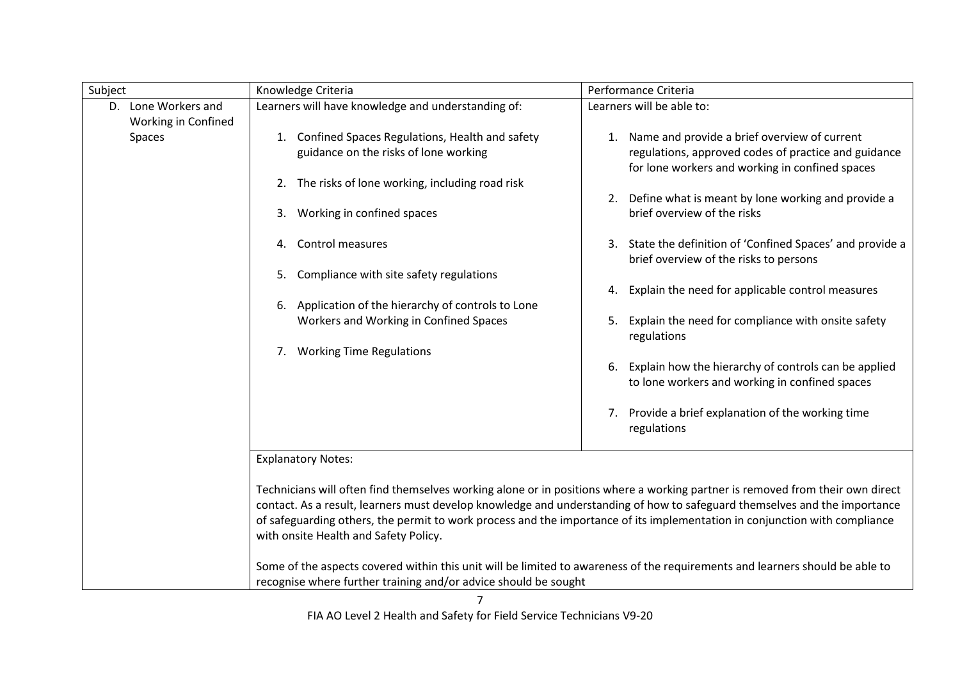| Subject                                    | Knowledge Criteria                                                                                                                                                                              | Performance Criteria                                                                                                                                                                                                                                                                                                                                                                     |
|--------------------------------------------|-------------------------------------------------------------------------------------------------------------------------------------------------------------------------------------------------|------------------------------------------------------------------------------------------------------------------------------------------------------------------------------------------------------------------------------------------------------------------------------------------------------------------------------------------------------------------------------------------|
| D. Lone Workers and<br>Working in Confined | Learners will have knowledge and understanding of:                                                                                                                                              | Learners will be able to:                                                                                                                                                                                                                                                                                                                                                                |
| Spaces                                     | Confined Spaces Regulations, Health and safety<br>1.<br>guidance on the risks of lone working                                                                                                   | 1. Name and provide a brief overview of current<br>regulations, approved codes of practice and guidance<br>for lone workers and working in confined spaces                                                                                                                                                                                                                               |
|                                            | 2. The risks of lone working, including road risk<br>Working in confined spaces<br>3.                                                                                                           | Define what is meant by lone working and provide a<br>2.<br>brief overview of the risks                                                                                                                                                                                                                                                                                                  |
|                                            | <b>Control measures</b><br>4.                                                                                                                                                                   | 3. State the definition of 'Confined Spaces' and provide a<br>brief overview of the risks to persons                                                                                                                                                                                                                                                                                     |
|                                            | Compliance with site safety regulations<br>5.<br>Application of the hierarchy of controls to Lone<br>6.                                                                                         | Explain the need for applicable control measures<br>4.                                                                                                                                                                                                                                                                                                                                   |
|                                            | Workers and Working in Confined Spaces<br><b>Working Time Regulations</b><br>7.                                                                                                                 | Explain the need for compliance with onsite safety<br>5.<br>regulations                                                                                                                                                                                                                                                                                                                  |
|                                            |                                                                                                                                                                                                 | Explain how the hierarchy of controls can be applied<br>6.<br>to lone workers and working in confined spaces                                                                                                                                                                                                                                                                             |
|                                            |                                                                                                                                                                                                 | 7. Provide a brief explanation of the working time<br>regulations                                                                                                                                                                                                                                                                                                                        |
|                                            | <b>Explanatory Notes:</b>                                                                                                                                                                       |                                                                                                                                                                                                                                                                                                                                                                                          |
|                                            | with onsite Health and Safety Policy.                                                                                                                                                           | Technicians will often find themselves working alone or in positions where a working partner is removed from their own direct<br>contact. As a result, learners must develop knowledge and understanding of how to safeguard themselves and the importance<br>of safeguarding others, the permit to work process and the importance of its implementation in conjunction with compliance |
|                                            | Some of the aspects covered within this unit will be limited to awareness of the requirements and learners should be able to<br>recognise where further training and/or advice should be sought |                                                                                                                                                                                                                                                                                                                                                                                          |

FIA AO Level 2 Health and Safety for Field Service Technicians V9-20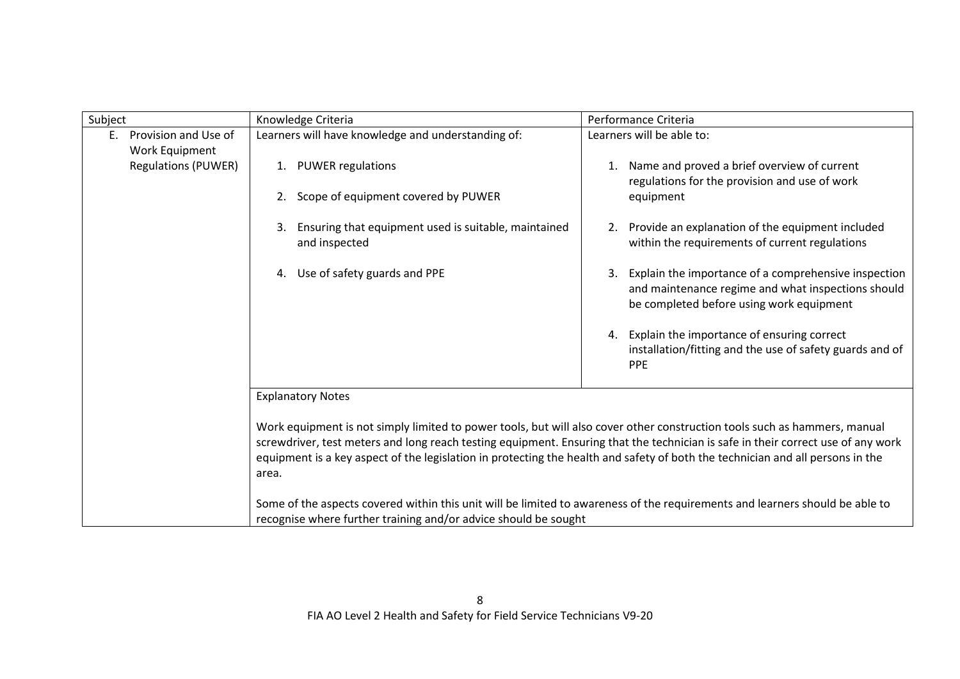| Subject                                       | Knowledge Criteria                                                                                                                                                                              | Performance Criteria                                                                                                                                                                                                                                                                                                                                                                            |
|-----------------------------------------------|-------------------------------------------------------------------------------------------------------------------------------------------------------------------------------------------------|-------------------------------------------------------------------------------------------------------------------------------------------------------------------------------------------------------------------------------------------------------------------------------------------------------------------------------------------------------------------------------------------------|
| Provision and Use of<br>E.,<br>Work Equipment | Learners will have knowledge and understanding of:                                                                                                                                              | Learners will be able to:                                                                                                                                                                                                                                                                                                                                                                       |
| <b>Regulations (PUWER)</b>                    | <b>PUWER regulations</b><br>1.                                                                                                                                                                  | Name and proved a brief overview of current<br>1.<br>regulations for the provision and use of work                                                                                                                                                                                                                                                                                              |
|                                               | Scope of equipment covered by PUWER                                                                                                                                                             | equipment                                                                                                                                                                                                                                                                                                                                                                                       |
|                                               | Ensuring that equipment used is suitable, maintained<br>and inspected                                                                                                                           | Provide an explanation of the equipment included<br>within the requirements of current regulations                                                                                                                                                                                                                                                                                              |
|                                               | Use of safety guards and PPE<br>4.                                                                                                                                                              | Explain the importance of a comprehensive inspection<br>3.<br>and maintenance regime and what inspections should<br>be completed before using work equipment                                                                                                                                                                                                                                    |
|                                               |                                                                                                                                                                                                 | 4. Explain the importance of ensuring correct<br>installation/fitting and the use of safety guards and of<br><b>PPE</b>                                                                                                                                                                                                                                                                         |
|                                               | <b>Explanatory Notes</b>                                                                                                                                                                        |                                                                                                                                                                                                                                                                                                                                                                                                 |
| area.                                         |                                                                                                                                                                                                 | Work equipment is not simply limited to power tools, but will also cover other construction tools such as hammers, manual<br>screwdriver, test meters and long reach testing equipment. Ensuring that the technician is safe in their correct use of any work<br>equipment is a key aspect of the legislation in protecting the health and safety of both the technician and all persons in the |
|                                               | Some of the aspects covered within this unit will be limited to awareness of the requirements and learners should be able to<br>recognise where further training and/or advice should be sought |                                                                                                                                                                                                                                                                                                                                                                                                 |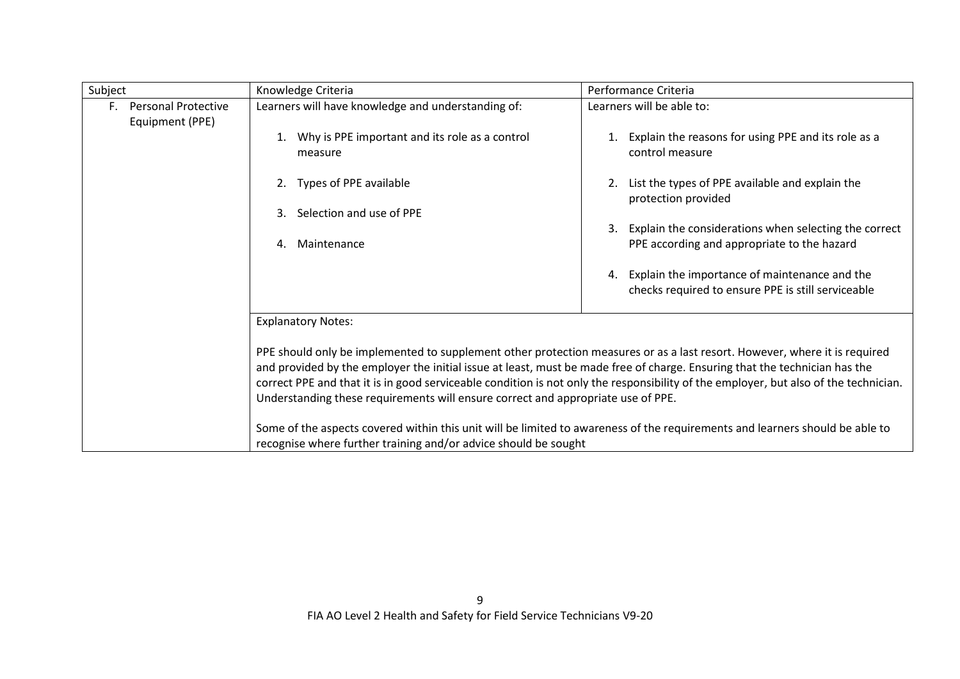| Subject                                             | Knowledge Criteria                                                                                                                                                                                                                                                                                                                                                                                                                                                                  | Performance Criteria                                                                                   |
|-----------------------------------------------------|-------------------------------------------------------------------------------------------------------------------------------------------------------------------------------------------------------------------------------------------------------------------------------------------------------------------------------------------------------------------------------------------------------------------------------------------------------------------------------------|--------------------------------------------------------------------------------------------------------|
| <b>Personal Protective</b><br>F.<br>Equipment (PPE) | Learners will have knowledge and understanding of:                                                                                                                                                                                                                                                                                                                                                                                                                                  | Learners will be able to:                                                                              |
|                                                     | Why is PPE important and its role as a control<br>1.<br>measure                                                                                                                                                                                                                                                                                                                                                                                                                     | 1. Explain the reasons for using PPE and its role as a<br>control measure                              |
|                                                     | Types of PPE available<br>2.                                                                                                                                                                                                                                                                                                                                                                                                                                                        | List the types of PPE available and explain the<br>2.<br>protection provided                           |
|                                                     | Selection and use of PPE<br>3.                                                                                                                                                                                                                                                                                                                                                                                                                                                      |                                                                                                        |
|                                                     |                                                                                                                                                                                                                                                                                                                                                                                                                                                                                     | 3. Explain the considerations when selecting the correct                                               |
|                                                     | Maintenance<br>4.                                                                                                                                                                                                                                                                                                                                                                                                                                                                   | PPE according and appropriate to the hazard                                                            |
|                                                     |                                                                                                                                                                                                                                                                                                                                                                                                                                                                                     | 4. Explain the importance of maintenance and the<br>checks required to ensure PPE is still serviceable |
|                                                     | <b>Explanatory Notes:</b>                                                                                                                                                                                                                                                                                                                                                                                                                                                           |                                                                                                        |
|                                                     | PPE should only be implemented to supplement other protection measures or as a last resort. However, where it is required<br>and provided by the employer the initial issue at least, must be made free of charge. Ensuring that the technician has the<br>correct PPE and that it is in good serviceable condition is not only the responsibility of the employer, but also of the technician.<br>Understanding these requirements will ensure correct and appropriate use of PPE. |                                                                                                        |
|                                                     | Some of the aspects covered within this unit will be limited to awareness of the requirements and learners should be able to<br>recognise where further training and/or advice should be sought                                                                                                                                                                                                                                                                                     |                                                                                                        |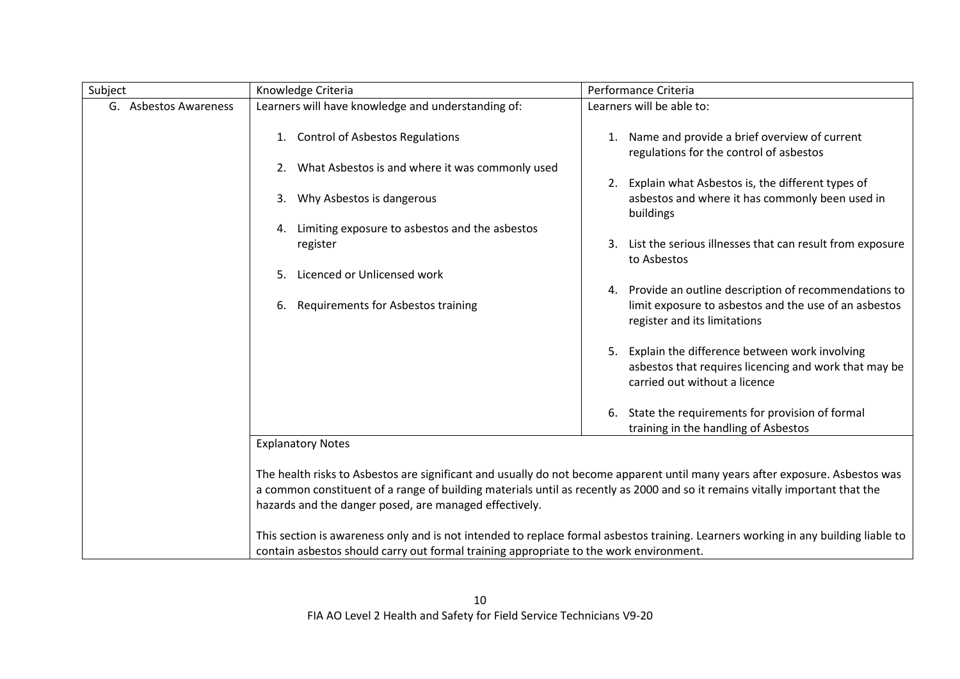| Subject               | Knowledge Criteria                                                                                                                                                                     | Performance Criteria                                                                                                                             |
|-----------------------|----------------------------------------------------------------------------------------------------------------------------------------------------------------------------------------|--------------------------------------------------------------------------------------------------------------------------------------------------|
| G. Asbestos Awareness | Learners will have knowledge and understanding of:                                                                                                                                     | Learners will be able to:                                                                                                                        |
|                       | 1. Control of Asbestos Regulations                                                                                                                                                     | 1. Name and provide a brief overview of current<br>regulations for the control of asbestos                                                       |
|                       | What Asbestos is and where it was commonly used<br>2.                                                                                                                                  |                                                                                                                                                  |
|                       | Why Asbestos is dangerous<br>3.                                                                                                                                                        | 2. Explain what Asbestos is, the different types of<br>asbestos and where it has commonly been used in<br>buildings                              |
|                       | Limiting exposure to asbestos and the asbestos<br>4.                                                                                                                                   |                                                                                                                                                  |
|                       | register                                                                                                                                                                               | 3. List the serious illnesses that can result from exposure<br>to Asbestos                                                                       |
|                       | Licenced or Unlicensed work<br>5.                                                                                                                                                      |                                                                                                                                                  |
|                       | Requirements for Asbestos training<br>6.                                                                                                                                               | 4. Provide an outline description of recommendations to<br>limit exposure to asbestos and the use of an asbestos<br>register and its limitations |
|                       |                                                                                                                                                                                        | 5. Explain the difference between work involving<br>asbestos that requires licencing and work that may be<br>carried out without a licence       |
|                       |                                                                                                                                                                                        | 6. State the requirements for provision of formal<br>training in the handling of Asbestos                                                        |
|                       | <b>Explanatory Notes</b>                                                                                                                                                               |                                                                                                                                                  |
|                       | a common constituent of a range of building materials until as recently as 2000 and so it remains vitally important that the<br>hazards and the danger posed, are managed effectively. | The health risks to Asbestos are significant and usually do not become apparent until many years after exposure. Asbestos was                    |
|                       |                                                                                                                                                                                        | This section is awareness only and is not intended to replace formal asbestos training. Learners working in any building liable to               |
|                       | contain asbestos should carry out formal training appropriate to the work environment.                                                                                                 |                                                                                                                                                  |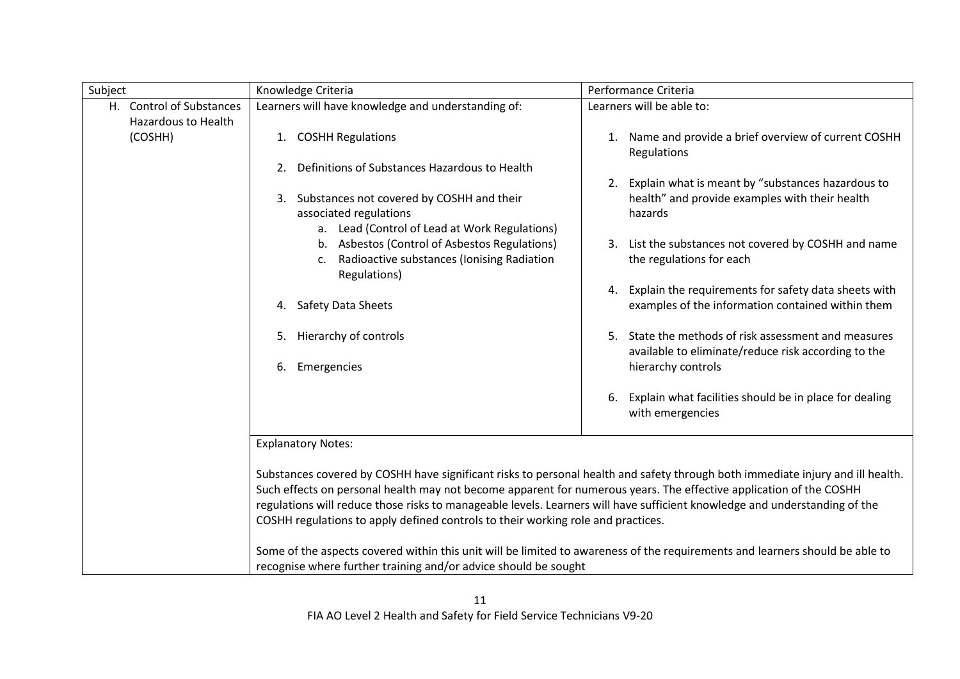| Subject                                                | Knowledge Criteria                                                                                                                                                                                                                                                                                                                                                                                                                                                     | Performance Criteria                                                                                                                 |
|--------------------------------------------------------|------------------------------------------------------------------------------------------------------------------------------------------------------------------------------------------------------------------------------------------------------------------------------------------------------------------------------------------------------------------------------------------------------------------------------------------------------------------------|--------------------------------------------------------------------------------------------------------------------------------------|
| H. Control of Substances<br><b>Hazardous to Health</b> | Learners will have knowledge and understanding of:                                                                                                                                                                                                                                                                                                                                                                                                                     | Learners will be able to:                                                                                                            |
| (COSHH)                                                | 1. COSHH Regulations                                                                                                                                                                                                                                                                                                                                                                                                                                                   | 1. Name and provide a brief overview of current COSHH<br>Regulations                                                                 |
|                                                        | Definitions of Substances Hazardous to Health<br>Substances not covered by COSHH and their<br>3.<br>associated regulations                                                                                                                                                                                                                                                                                                                                             | 2. Explain what is meant by "substances hazardous to<br>health" and provide examples with their health<br>hazards                    |
|                                                        | a. Lead (Control of Lead at Work Regulations)<br>b. Asbestos (Control of Asbestos Regulations)<br>Radioactive substances (Ionising Radiation<br>$C_{\cdot}$<br>Regulations)                                                                                                                                                                                                                                                                                            | 3. List the substances not covered by COSHH and name<br>the regulations for each                                                     |
|                                                        | <b>Safety Data Sheets</b><br>4.                                                                                                                                                                                                                                                                                                                                                                                                                                        | 4. Explain the requirements for safety data sheets with<br>examples of the information contained within them                         |
|                                                        | Hierarchy of controls<br>5.<br>Emergencies<br>6.                                                                                                                                                                                                                                                                                                                                                                                                                       | State the methods of risk assessment and measures<br>5.<br>available to eliminate/reduce risk according to the<br>hierarchy controls |
|                                                        |                                                                                                                                                                                                                                                                                                                                                                                                                                                                        | Explain what facilities should be in place for dealing<br>6.<br>with emergencies                                                     |
|                                                        | <b>Explanatory Notes:</b>                                                                                                                                                                                                                                                                                                                                                                                                                                              |                                                                                                                                      |
|                                                        | Substances covered by COSHH have significant risks to personal health and safety through both immediate injury and ill health.<br>Such effects on personal health may not become apparent for numerous years. The effective application of the COSHH<br>regulations will reduce those risks to manageable levels. Learners will have sufficient knowledge and understanding of the<br>COSHH regulations to apply defined controls to their working role and practices. |                                                                                                                                      |
|                                                        | Some of the aspects covered within this unit will be limited to awareness of the requirements and learners should be able to<br>recognise where further training and/or advice should be sought                                                                                                                                                                                                                                                                        |                                                                                                                                      |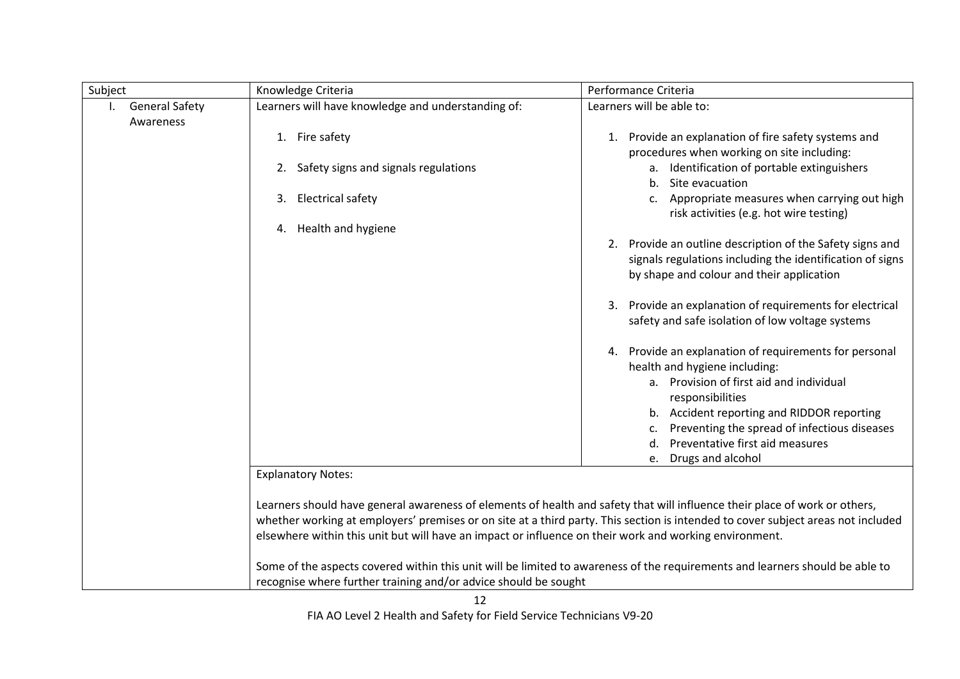| Subject                     | Knowledge Criteria                                                                                                               | Performance Criteria                                                                      |
|-----------------------------|----------------------------------------------------------------------------------------------------------------------------------|-------------------------------------------------------------------------------------------|
| <b>General Safety</b><br>Ι. | Learners will have knowledge and understanding of:                                                                               | Learners will be able to:                                                                 |
| Awareness                   |                                                                                                                                  |                                                                                           |
|                             | 1. Fire safety                                                                                                                   | 1. Provide an explanation of fire safety systems and                                      |
|                             |                                                                                                                                  | procedures when working on site including:                                                |
|                             | Safety signs and signals regulations<br>2.                                                                                       | a. Identification of portable extinguishers                                               |
|                             |                                                                                                                                  | Site evacuation<br>b.                                                                     |
|                             | Electrical safety<br>3.                                                                                                          | c. Appropriate measures when carrying out high<br>risk activities (e.g. hot wire testing) |
|                             | Health and hygiene<br>4.                                                                                                         |                                                                                           |
|                             |                                                                                                                                  | 2. Provide an outline description of the Safety signs and                                 |
|                             |                                                                                                                                  | signals regulations including the identification of signs                                 |
|                             |                                                                                                                                  | by shape and colour and their application                                                 |
|                             |                                                                                                                                  |                                                                                           |
|                             |                                                                                                                                  | 3. Provide an explanation of requirements for electrical                                  |
|                             |                                                                                                                                  | safety and safe isolation of low voltage systems                                          |
|                             |                                                                                                                                  |                                                                                           |
|                             |                                                                                                                                  | 4. Provide an explanation of requirements for personal                                    |
|                             |                                                                                                                                  | health and hygiene including:<br>a. Provision of first aid and individual                 |
|                             |                                                                                                                                  | responsibilities                                                                          |
|                             |                                                                                                                                  | b. Accident reporting and RIDDOR reporting                                                |
|                             |                                                                                                                                  | Preventing the spread of infectious diseases                                              |
|                             |                                                                                                                                  | Preventative first aid measures                                                           |
|                             |                                                                                                                                  | e. Drugs and alcohol                                                                      |
|                             | <b>Explanatory Notes:</b>                                                                                                        |                                                                                           |
|                             |                                                                                                                                  |                                                                                           |
|                             | Learners should have general awareness of elements of health and safety that will influence their place of work or others,       |                                                                                           |
|                             | whether working at employers' premises or on site at a third party. This section is intended to cover subject areas not included |                                                                                           |
|                             | elsewhere within this unit but will have an impact or influence on their work and working environment.                           |                                                                                           |
|                             |                                                                                                                                  |                                                                                           |
|                             | Some of the aspects covered within this unit will be limited to awareness of the requirements and learners should be able to     |                                                                                           |
|                             | recognise where further training and/or advice should be sought                                                                  |                                                                                           |